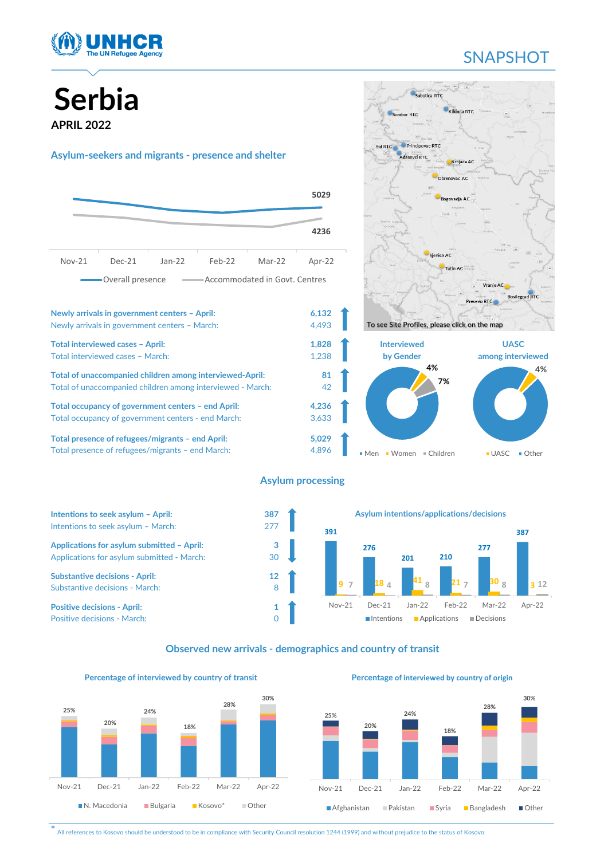

# **SNAPSHOT**

# **Serbia APRIL 2022**

#### **Asylum-seekers and migrants - presence and shelter**







#### **Asylum processing**



#### **Observed new arrivals - demographics and country of transit**



Nov-21 Dec-21 Jan-22 Feb-22 Mar-22 Apr-22

N. Macedonia Bulgaria Kosovo\* Other

**18%**

**28%**

**24%**

**25%**

**20%**



**Percentage of interviewed by country of origin**

Nov-21 Dec-21 Jan-22 Feb-22 Mar-22 Apr-22

■ Afghanistan ■ Pakistan ■ Syria ■ Bangladesh ■ Other

**30%**

\* All references to Kosovo should be understood to be in compliance with Security Council resolution 1244 (1999) and without prejudice to the status of Kosovo

**30%**